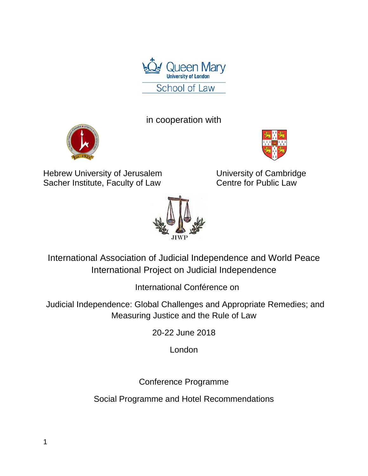

in cooperation with





Hebrew University of Jerusalem<br>
Sacher Institute, Faculty of Law<br>
Centre for Public Law Sacher Institute, Faculty of Law



International Association of Judicial Independence and World Peace International Project on Judicial Independence

International Conférence on

Judicial Independence: Global Challenges and Appropriate Remedies; and Measuring Justice and the Rule of Law

20-22 June 2018

London

Conference Programme

Social Programme and Hotel Recommendations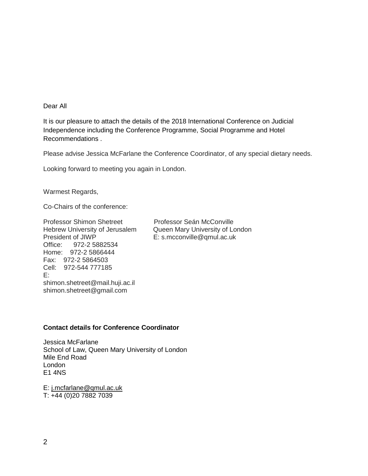#### Dear All

It is our pleasure to attach the details of the 2018 International Conference on Judicial Independence including the Conference Programme, Social Programme and Hotel Recommendations .

Please advise Jessica McFarlane the Conference Coordinator, of any special dietary needs.

Looking forward to meeting you again in London.

Warmest Regards,

Co-Chairs of the conference:

Professor Shimon Shetreet Professor Seán McConville President of JIWP E: s.mcconville@qmul.ac.uk Office: 972-2 5882534 Home: 972-2 5866444 Fax: 972-2 5864503 Cell: 972-544 777185 E: shimon.shetreet@mail.huji.ac.il shimon.shetreet@gmail.com

Hebrew University of Jerusalem Queen Mary University of London

#### **Contact details for Conference Coordinator**

Jessica McFarlane School of Law, Queen Mary University of London Mile End Road London E1 4NS

E: [j.mcfarlane@qmul.ac.uk](mailto:j.mcfarlane@qmul.ac.uk) T: +44 (0)20 7882 7039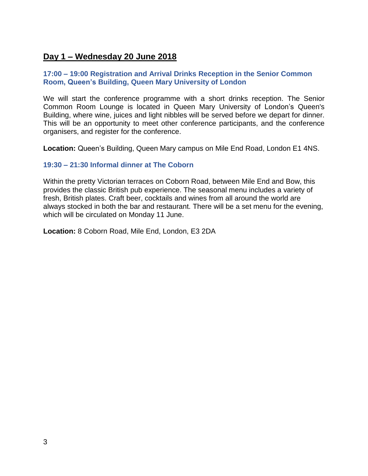# **Day 1 – Wednesday 20 June 2018**

#### **17:00 – 19:00 Registration and Arrival Drinks Reception in the Senior Common Room, Queen's Building, Queen Mary University of London**

We will start the conference programme with a short drinks reception. The Senior Common Room Lounge is located in Queen Mary University of London's Queen's Building, where wine, juices and light nibbles will be served before we depart for dinner. This will be an opportunity to meet other conference participants, and the conference organisers, and register for the conference.

**Location:** Queen's Building, Queen Mary campus on Mile End Road, London E1 4NS.

### **19:30 – 21:30 Informal dinner at The Coborn**

Within the pretty Victorian terraces on Coborn Road, between Mile End and Bow, this provides the classic British pub experience. The seasonal menu includes a variety of fresh, British plates. Craft beer, cocktails and wines from all around the world are always stocked in both the bar and restaurant. There will be a set menu for the evening, which will be circulated on Monday 11 June.

**Location:** 8 Coborn Road, Mile End, London, E3 2DA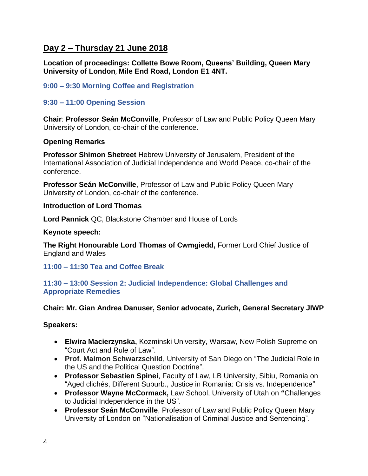# **Day 2 – Thursday 21 June 2018**

**Location of proceedings: Collette Bowe Room, Queens' Building, Queen Mary University of London**, **Mile End Road, London E1 4NT.**

## **9:00 – 9:30 Morning Coffee and Registration**

## **9:30 – 11:00 Opening Session**

**Chair**: **Professor Seán McConville**, Professor of Law and Public Policy Queen Mary University of London, co-chair of the conference.

## **Opening Remarks**

**Professor Shimon Shetreet** Hebrew University of Jerusalem, President of the International Association of Judicial Independence and World Peace, co-chair of the conference.

**Professor Seán McConville**, Professor of Law and Public Policy Queen Mary University of London, co-chair of the conference.

### **Introduction of Lord Thomas**

**Lord Pannick** QC, Blackstone Chamber and House of Lords

### **Keynote speech:**

**The Right Honourable Lord Thomas of Cwmgiedd,** Former Lord Chief Justice of England and Wales

## **11:00 – 11:30 Tea and Coffee Break**

#### **11:30 – 13:00 Session 2: Judicial Independence: Global Challenges and Appropriate Remedies**

## **Chair: Mr. Gian Andrea Danuser, Senior advocate, Zurich, General Secretary JIWP**

## **Speakers:**

- **Elwira Macierzynska,** Kozminski University, Warsaw**,** New Polish Supreme on "Court Act and Rule of Law".
- **Prof. Maimon Schwarzschild**, University of San Diego on "The Judicial Role in the US and the Political Question Doctrine".
- **Professor Sebastien Spinei**, Faculty of Law, LB University, Sibiu, Romania on "Aged clichés, Different Suburb., Justice in Romania: Crisis vs. Independence"
- **Professor Wayne McCormack,** Law School, University of Utah on **"**Challenges to Judicial Independence in the US".
- **Professor Seán McConville**, Professor of Law and Public Policy Queen Mary University of London on "Nationalisation of Criminal Justice and Sentencing".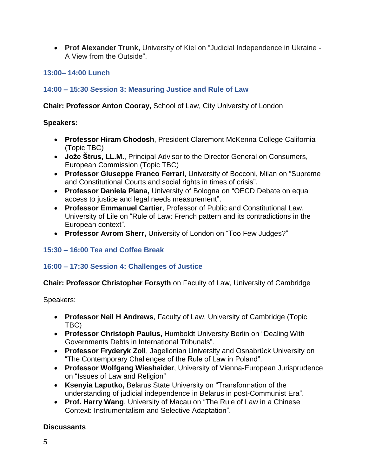**Prof Alexander Trunk,** University of Kiel on "Judicial Independence in Ukraine - A View from the Outside".

## **13:00– 14:00 Lunch**

## **14:00 – 15:30 Session 3: Measuring Justice and Rule of Law**

**Chair: Professor Anton Cooray,** School of Law, City University of London

### **Speakers:**

- **Professor Hiram Chodosh**, President Claremont McKenna College California (Topic TBC)
- **Jože Štrus, LL.M.**, Principal Advisor to the Director General on Consumers, European Commission (Topic TBC)
- **Professor Giuseppe Franco Ferrari**, University of Bocconi, Milan on "Supreme and Constitutional Courts and social rights in times of crisis".
- **Professor Daniela Piana,** University of Bologna on "OECD Debate on equal access to justice and legal needs measurement".
- **Professor Emmanuel Cartier**, Professor of Public and Constitutional Law, University of Lile on "Rule of Law: French pattern and its contradictions in the European context".
- **Professor Avrom Sherr,** University of London on "Too Few Judges?"

## **15:30 – 16:00 Tea and Coffee Break**

## **16:00 – 17:30 Session 4: Challenges of Justice**

## **Chair: Professor Christopher Forsyth** on Faculty of Law, University of Cambridge

Speakers:

- **Professor Neil H Andrews**, Faculty of Law, University of Cambridge (Topic TBC)
- **Professor Christoph Paulus,** Humboldt University Berlin on "Dealing With Governments Debts in International Tribunals".
- **Professor Fryderyk Zoll**, Jagellonian University and Osnabrück University on "The Contemporary Challenges of the Rule of Law in Poland".
- **Professor Wolfgang Wieshaider**, University of Vienna-European Jurisprudence on "Issues of Law and Religion"
- **Ksenyia Laputko,** Belarus State University on "Transformation of the understanding of judicial independence in Belarus in post-Communist Era".
- **Prof. Harry Wang**, University of Macau on "The Rule of Law in a Chinese Context: Instrumentalism and Selective Adaptation".

## **Discussants**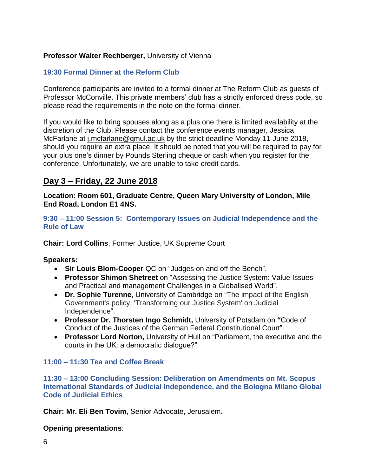## **Professor Walter Rechberger,** University of Vienna

#### **19:30 Formal Dinner at the Reform Club**

Conference participants are invited to a formal dinner at The Reform Club as guests of Professor McConville. This private members' club has a strictly enforced dress code, so please read the requirements in the note on the formal dinner.

If you would like to bring spouses along as a plus one there is limited availability at the discretion of the Club. Please contact the conference events manager, Jessica McFarlane at *[j.mcfarlane@qmul.ac.uk](mailto:j.mcfarlane@qmul.ac.uk)* by the strict deadline Monday 11 June 2018, should you require an extra place. It should be noted that you will be required to pay for your plus one's dinner by Pounds Sterling cheque or cash when you register for the conference. Unfortunately, we are unable to take credit cards.

## **Day 3 – Friday, 22 June 2018**

**Location: Room 601, Graduate Centre, Queen Mary University of London, Mile End Road, London E1 4NS.**

**9:30 – 11:00 Session 5: Contemporary Issues on Judicial Independence and the Rule of Law**

**Chair: Lord Collins**, Former Justice, UK Supreme Court

#### **Speakers:**

- **Sir Louis Blom-Cooper** QC on "Judges on and off the Bench".
- **Professor Shimon Shetreet** on "Assessing the Justice System: Value Issues and Practical and management Challenges in a Globalised World".
- **Dr. Sophie Turenne**, University of Cambridge on "The impact of the English Government's policy, 'Transforming our Justice System' on Judicial Independence".
- **Professor Dr. Thorsten Ingo Schmidt,** University of Potsdam on **"**Code of Conduct of the Justices of the German Federal Constitutional Court"
- **Professor Lord Norton,** University of Hull on "Parliament, the executive and the courts in the UK: a democratic dialogue?"

#### **11:00 – 11:30 Tea and Coffee Break**

**11:30 – 13:00 Concluding Session: Deliberation on Amendments on Mt. Scopus International Standards of Judicial Independence, and the Bologna Milano Global Code of Judicial Ethics**

**Chair: Mr. Eli Ben Tovim**, Senior Advocate, Jerusalem**.**

**Opening presentations**: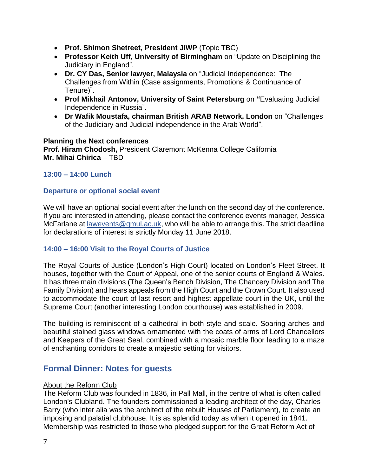- **Prof. Shimon Shetreet, President JIWP** (Topic TBC)
- **Professor Keith Uff, University of Birmingham** on "Update on Disciplining the Judiciary in England".
- **Dr. CY Das, Senior lawyer, Malaysia** on "Judicial Independence: The Challenges from Within (Case assignments, Promotions & Continuance of Tenure)".
- **Prof Mikhail Antonov, University of Saint Petersburg** on **"**Evaluating Judicial Independence in Russia".
- **Dr Wafik Moustafa, chairman British ARAB Network, London** on "Challenges of the Judiciary and Judicial independence in the Arab World".

#### **Planning the Next conferences Prof. Hiram Chodosh,** President Claremont McKenna College California **Mr. Mihai Chirica** – TBD

## **13:00 – 14:00 Lunch**

### **Departure or optional social event**

We will have an optional social event after the lunch on the second day of the conference. If you are interested in attending, please contact the conference events manager, Jessica McFarlane at [lawevents@qmul.ac.uk,](mailto:lawevents@qmul.ac.uk) who will be able to arrange this. The strict deadline for declarations of interest is strictly Monday 11 June 2018.

## **14:00 – 16:00 Visit to the Royal Courts of Justice**

The Royal Courts of Justice (London's High Court) located on London's Fleet Street. It houses, together with the Court of Appeal, one of the senior courts of England & Wales. It has three main divisions (The Queen's Bench Division, The Chancery Division and The Family Division) and hears appeals from the High Court and the Crown Court. It also used to accommodate the court of last resort and highest appellate court in the UK, until the Supreme Court (another interesting London courthouse) was established in 2009.

The building is reminiscent of a cathedral in both style and scale. Soaring arches and beautiful stained glass windows ornamented with the coats of arms of Lord Chancellors and Keepers of the Great Seal, combined with a mosaic marble floor leading to a maze of enchanting corridors to create a majestic setting for visitors.

## **Formal Dinner: Notes for guests**

#### About the Reform Club

The Reform Club was founded in 1836, in Pall Mall, in the centre of what is often called London's Clubland. The founders commissioned a leading architect of the day, Charles Barry (who inter alia was the architect of the rebuilt Houses of Parliament), to create an imposing and palatial clubhouse. It is as splendid today as when it opened in 1841. Membership was restricted to those who pledged support for the Great Reform Act of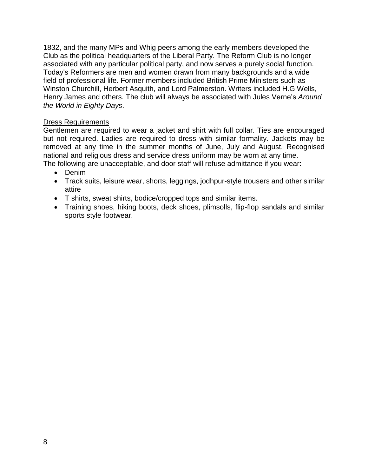1832, and the many MPs and Whig peers among the early members developed the Club as the political headquarters of the Liberal Party. The Reform Club is no longer associated with any particular political party, and now serves a purely social function. Today's Reformers are men and women drawn from many backgrounds and a wide field of professional life. Former members included British Prime Ministers such as Winston Churchill, Herbert Asquith, and Lord Palmerston. Writers included H.G Wells, Henry James and others. The club will always be associated with Jules Verne's *Around the World in Eighty Days*.

### Dress Requirements

Gentlemen are required to wear a jacket and shirt with full collar. Ties are encouraged but not required. Ladies are required to dress with similar formality. Jackets may be removed at any time in the summer months of June, July and August. Recognised national and religious dress and service dress uniform may be worn at any time.

The following are unacceptable, and door staff will refuse admittance if you wear:

- Denim
- Track suits, leisure wear, shorts, leggings, jodhpur-style trousers and other similar attire
- T shirts, sweat shirts, bodice/cropped tops and similar items.
- Training shoes, hiking boots, deck shoes, plimsolls, flip-flop sandals and similar sports style footwear.